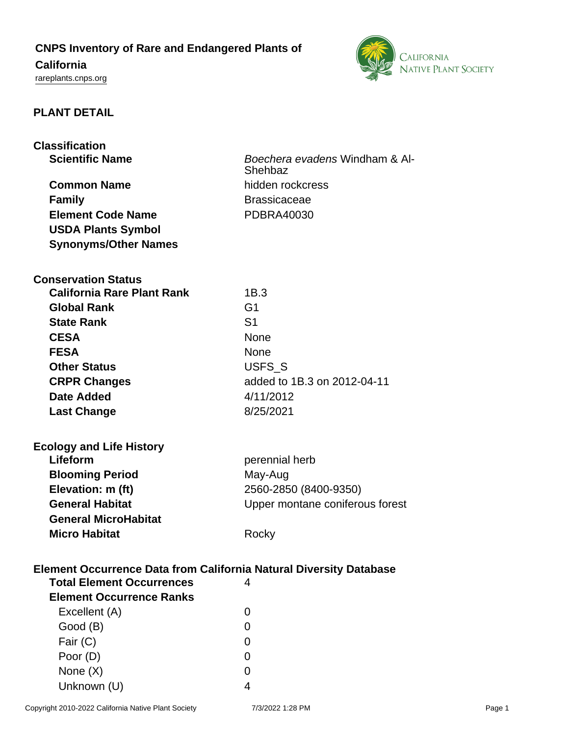# **CNPS Inventory of Rare and Endangered Plants of**

# **California**

<rareplants.cnps.org>



# **PLANT DETAIL**

| <b>Classification</b>                                                                                  |                                 |
|--------------------------------------------------------------------------------------------------------|---------------------------------|
| <b>Scientific Name</b>                                                                                 | Boechera evadens Windham & Al-  |
|                                                                                                        | Shehbaz                         |
| <b>Common Name</b>                                                                                     | hidden rockcress                |
| <b>Family</b>                                                                                          | <b>Brassicaceae</b>             |
| <b>Element Code Name</b>                                                                               | <b>PDBRA40030</b>               |
| <b>USDA Plants Symbol</b>                                                                              |                                 |
| <b>Synonyms/Other Names</b>                                                                            |                                 |
|                                                                                                        |                                 |
| <b>Conservation Status</b>                                                                             |                                 |
| <b>California Rare Plant Rank</b>                                                                      | 1B.3                            |
| <b>Global Rank</b>                                                                                     | G <sub>1</sub>                  |
| <b>State Rank</b>                                                                                      | S <sub>1</sub>                  |
| <b>CESA</b>                                                                                            | <b>None</b>                     |
| <b>FESA</b>                                                                                            | <b>None</b>                     |
| <b>Other Status</b>                                                                                    | USFS_S                          |
| <b>CRPR Changes</b>                                                                                    | added to 1B.3 on 2012-04-11     |
| <b>Date Added</b>                                                                                      | 4/11/2012                       |
| <b>Last Change</b>                                                                                     | 8/25/2021                       |
|                                                                                                        |                                 |
| <b>Ecology and Life History</b>                                                                        |                                 |
| Lifeform                                                                                               | perennial herb                  |
| <b>Blooming Period</b>                                                                                 | May-Aug                         |
| Elevation: m (ft)                                                                                      | 2560-2850 (8400-9350)           |
| <b>General Habitat</b>                                                                                 | Upper montane coniferous forest |
| <b>General MicroHabitat</b>                                                                            |                                 |
| <b>Micro Habitat</b>                                                                                   | Rocky                           |
|                                                                                                        |                                 |
| Element Occurrence Data from California Natural Diversity Database<br><b>Total Element Occurrences</b> | 4                               |
| <b>Element Occurrence Ranks</b>                                                                        |                                 |
|                                                                                                        |                                 |
| Excellent (A)                                                                                          | 0                               |
| Good (B)                                                                                               | 0                               |
| Fair (C)                                                                                               | 0                               |
| Poor (D)                                                                                               | 0                               |
| None $(X)$                                                                                             | 0                               |
| Unknown (U)                                                                                            | 4                               |